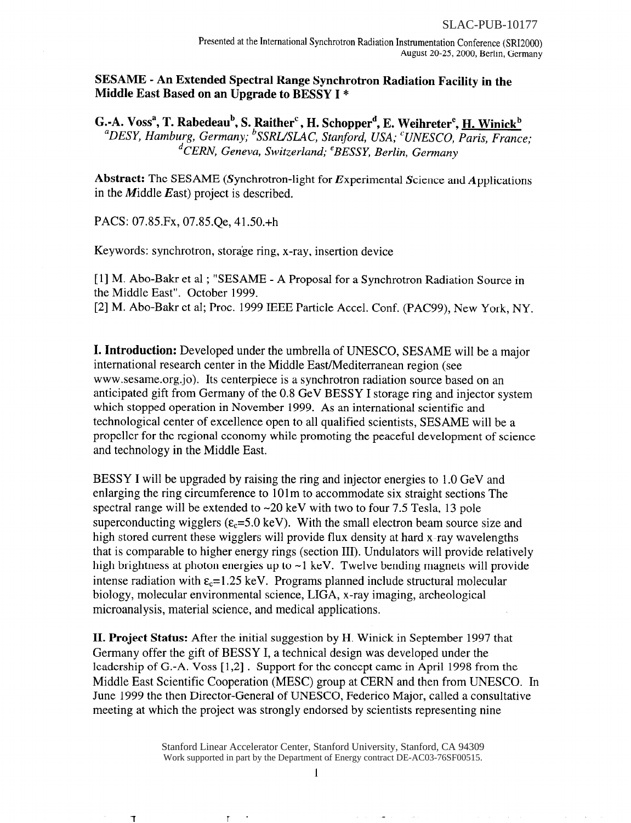## SESAME - An Extended Spectral Range Synchrotron Radiation Facility in the Middle East Based on an Upgrade to BESSY I \*

G.-A. Voss<sup>a</sup>, T. Rabedeau<sup>b</sup>, S. Raither<sup>c</sup>, H. Schopper<sup>d</sup>, E. Weihreter<sup>e</sup>, H. Winick<sup>b</sup> <sup>a</sup>DESY, Hamburg, Germany; <sup>b</sup>SSRL/SLAC, Stanford, USA; <sup>c</sup>UNESCO, Paris, France; <sup>d</sup>CERN, Geneva, Switzerland; <sup>e</sup>BESSY, Berlin, Germany

Abstract: The SESAME (Synchrotron-light for Experimental Science and Applications in the *M*iddle  $E$ ast) project is described.

PACS: 07.85.Fx, 07.85.Qe, 41.50.+h

Keywords: synchrotron, storage ring, x-ray, insertion device

[1] M. Abo-Bakr et al ; "SESAME - A Proposal for a Synchrotron Radiation Source in the Middle East". October 1999. [2] M. Abo-Bakr et al; Proc. 1999 IEEE Particle Accel. Conf. (PAC99), New York, NY.

I. Introduction: Developed under the umbrella of UNESCO, SESAME will be a major international research center in the Middle East/Mediterranean region (see www.sesame.org.jo). Its centerpiece is a synchrotron radiation source based on an anticipated gift from Germany of the 0.8 GeV BESSY I storage ring and injector system which stopped operation in November 1999. As an international scientific and technological center of excellence open to all qualified scientists, SESAME will be a propeller for the regional economy while promoting the peaceful development of science and technology in the Middle East.

BESSY I will be upgraded by raising the ring and injector energies to 1 .O GeV and enlarging the ring circumference to 1Olm to accommodate six straight sections The spectral range will be extended to  $\sim$ 20 keV with two to four 7.5 Tesla, 13 pole superconducting wigglers ( $\varepsilon_c$ =5.0 keV). With the small electron beam source size and high stored current these wigglers will provide flux density at hard x-ray wavelengths that is comparable to higher energy rings (section III). Undulators will provide relatively high brightness at photon energies up to  $\sim$ 1 keV. Twelve bending magnets will provide intense radiation with  $\varepsilon_c = 1.25 \text{ keV}$ . Programs planned include structural molecular biology, molecular environmental science, LIGA, x-ray imaging, archeological microanalysis, material science, and medical applications.

II. Project Status: After the initial suggestion by H. Winick in September 1997 that Germany offer the gift of BESSY I, a technical design was developed under the leadership of G.-A. Voss [1,2]. Support for the concept came in April 1998 from the Middle East Scientific Cooperation (MESC) group at CERN and then from UNESCO. In June 1999 the then Director-General of UNESCO, Federico Major, called a consultative meeting at which the project was strongly endorsed by scientists representing nine

> Work supported in part by the Department of Energy contract DE-AC03-76SF00515. Stanford Linear Accelerator Center, Stanford University, Stanford, CA 94309

> > 1

 $\mathsf{T}$ 

ℸ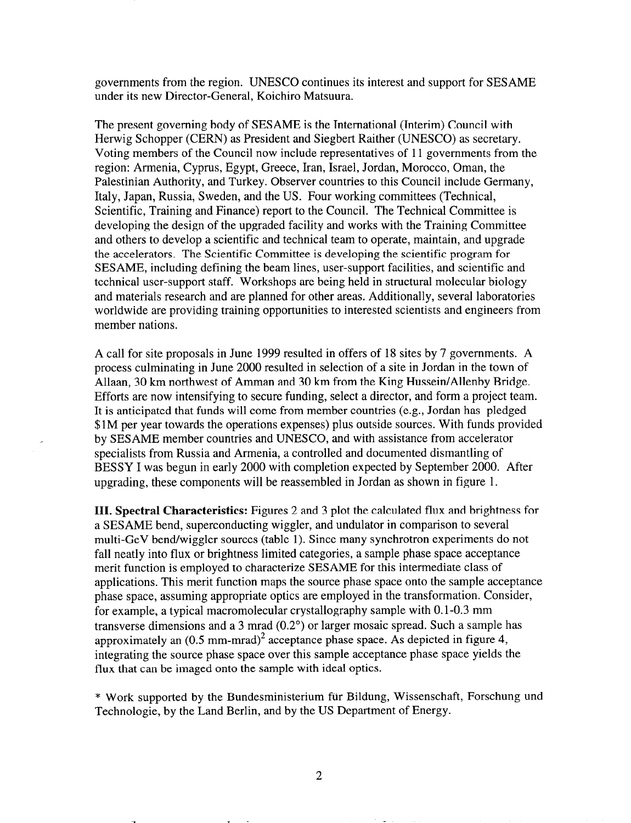governments from the region. UNESCO continues its interest and support for SESAME under its new Director-General, Koichiro Matsuura.

The present governing body of SESAME is the International (Interim) Council with Herwig Schopper (CERN) as President and Siegbert Raither (UNESCO) as secretary. Voting members of the Council now include representatives of 11 governments from the region: Armenia, Cyprus, Egypt, Greece, Iran, Israel, Jordan, Morocco, Oman, the Palestinian Authority, and Turkey. Observer countries to this Council include Germany, Italy, Japan, Russia, Sweden, and the US. Four working committees (Technical, Scientific, Training and Finance) report to the Council. The Technical Committee is developing the design of the upgraded facility and works with the Training Committee and others to develop a scientific and technical team to operate, maintain, and upgrade the accelerators. The Scientific Committee is developing the scientific program for SESAME, including defining the beam lines, user-support facilities, and scientific and technical user-support staff. Workshops are being held in structural molecular biology and materials research and are planned for other areas. Additionally, several laboratories worldwide are providing training opportunities to interested scientists and engineers from member nations.

A call for site proposals in June 1999 resulted in offers of 18 sites by 7 governments. A process culminating in June 2000 resulted in selection of a site in Jordan in the town of Allaan, 30 km northwest of Amman and 30 km from the King Hussein/Allenby Bridge. Efforts are now intensifying to secure funding, select a director, and form a project team. It is anticipated that funds will come from member countries (e.g., Jordan has pledged \$lM per year towards the operations expenses) plus outside sources. With funds provided by SESAME member countries and UNESCO, and with assistance from accelerator specialists from Russia and Armenia, a controlled and documented dismantling of BESSY I was begun in early 2000 with completion expected by September 2000. After upgrading, these components will be reassembled in Jordan as shown in figure 1.

III. Spectral Characteristics: Figures 2 and 3 plot the calculated flux and brightness for a SESAME bend, superconducting wiggler, and undulator in comparison to several multi-GeV bend/wiggler sources (table 1). Since many synchrotron experiments do not fall neatly into flux or brightness limited categories, a sample phase space acceptance merit function is employed to characterize SESAME for this intermediate class of applications. This merit function maps the source phase space onto the sample acceptance phase space, assuming appropriate optics are employed in the transformation. Consider, for example, a typical macromolecular crystallography sample with 0.1-0.3 mm transverse dimensions and a 3 mrad (0.2") or larger mosaic spread. Such a sample has approximately an  $(0.5 \text{ mm-mrad})^2$  acceptance phase space. As depicted in figure 4, integrating the source phase space over this sample acceptance phase space yields the flux that can be imaged onto the sample with ideal optics.

\* Work supported by the Bundesministerium fiir Bildung, Wissenschaft, Forschung und Technologie, by the Land Berlin, and by the US Department of Energy.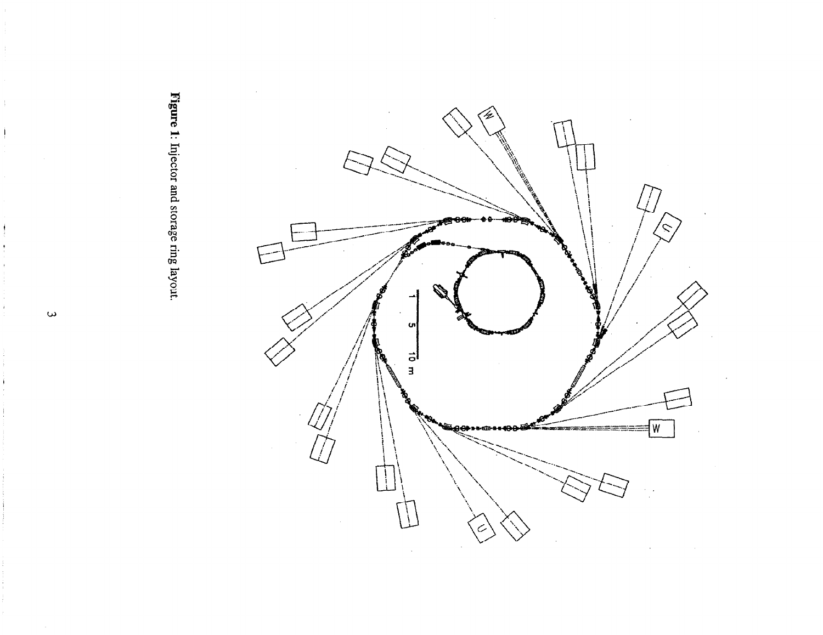

Figure 1: Injector and storage ring layout.

 $\omega$ 

 $\frac{1}{2}$ 

 $\mathbf{i}$ 

ł

ì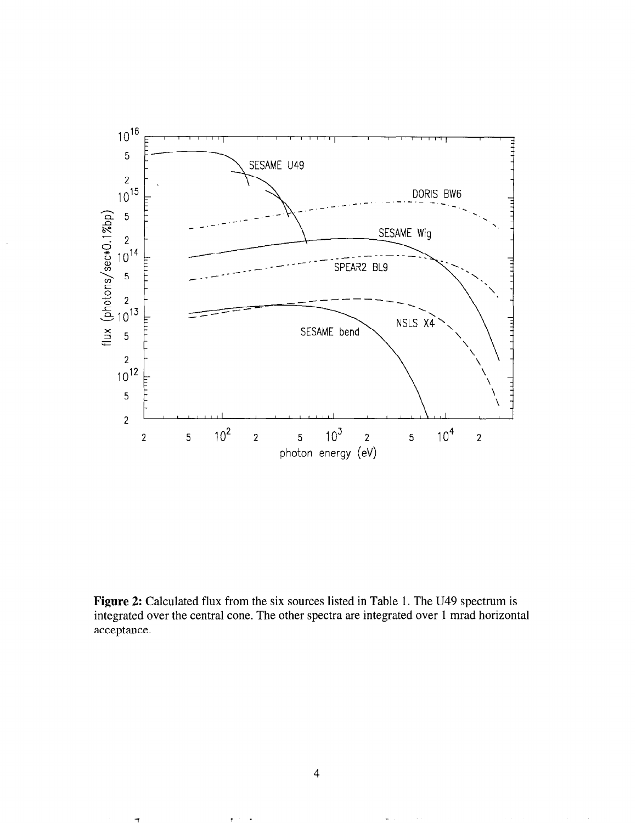

Figure 2: Calculated flux from the six sources listed in Table 1. The U49 spectrum is integrated over the central cone. The other spectra are integrated over 1 mrad horizontal acceptance.

 $\pmb{\tau}$  ,  $\tau$  .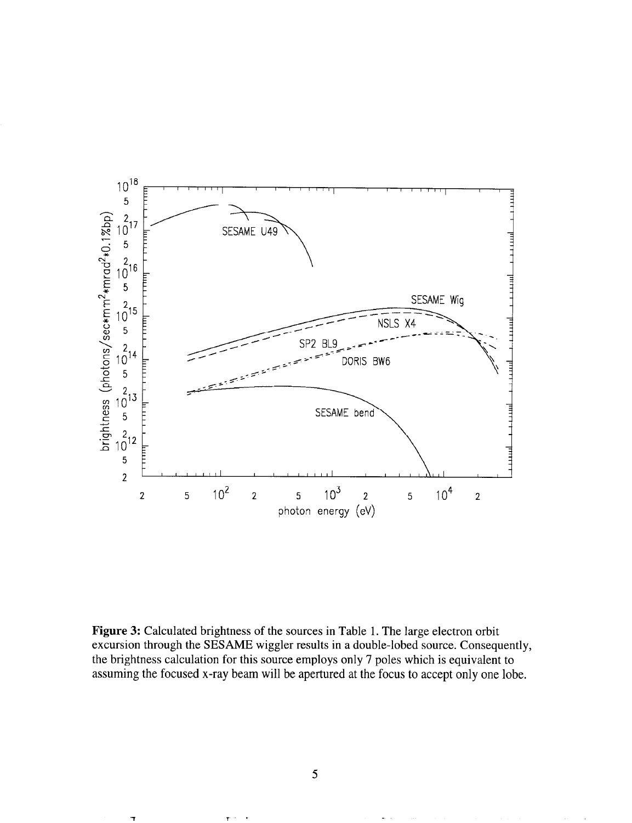

Figure 3: Calculated brightness of the sources in Table 1. The large electron orbit excursion through the SESAME wiggler results in a double-lobed source. Consequently, the brightness calculation for this source employs only 7 poles which is equivalent to assuming the focused x-ray beam will be apertured at the focus to accept only one lobe.

 $\mathsf T$ 

 $\mathbf T$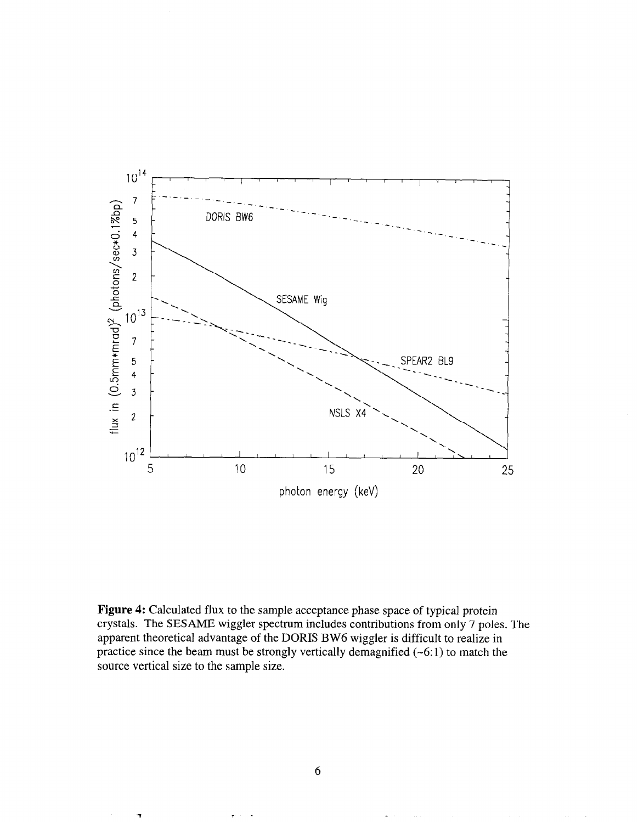

Figure 4: Calculated flux to the sample acceptance phase space of typical protein crystals. The SESAME wiggler spectrum includes contributions from only 7 poles. The apparent theoretical advantage of the DORIS BW6 wiggler is difficult to realize in practice since the beam must be strongly vertically demagnified  $(-6:1)$  to match the source vertical size to the sample size.